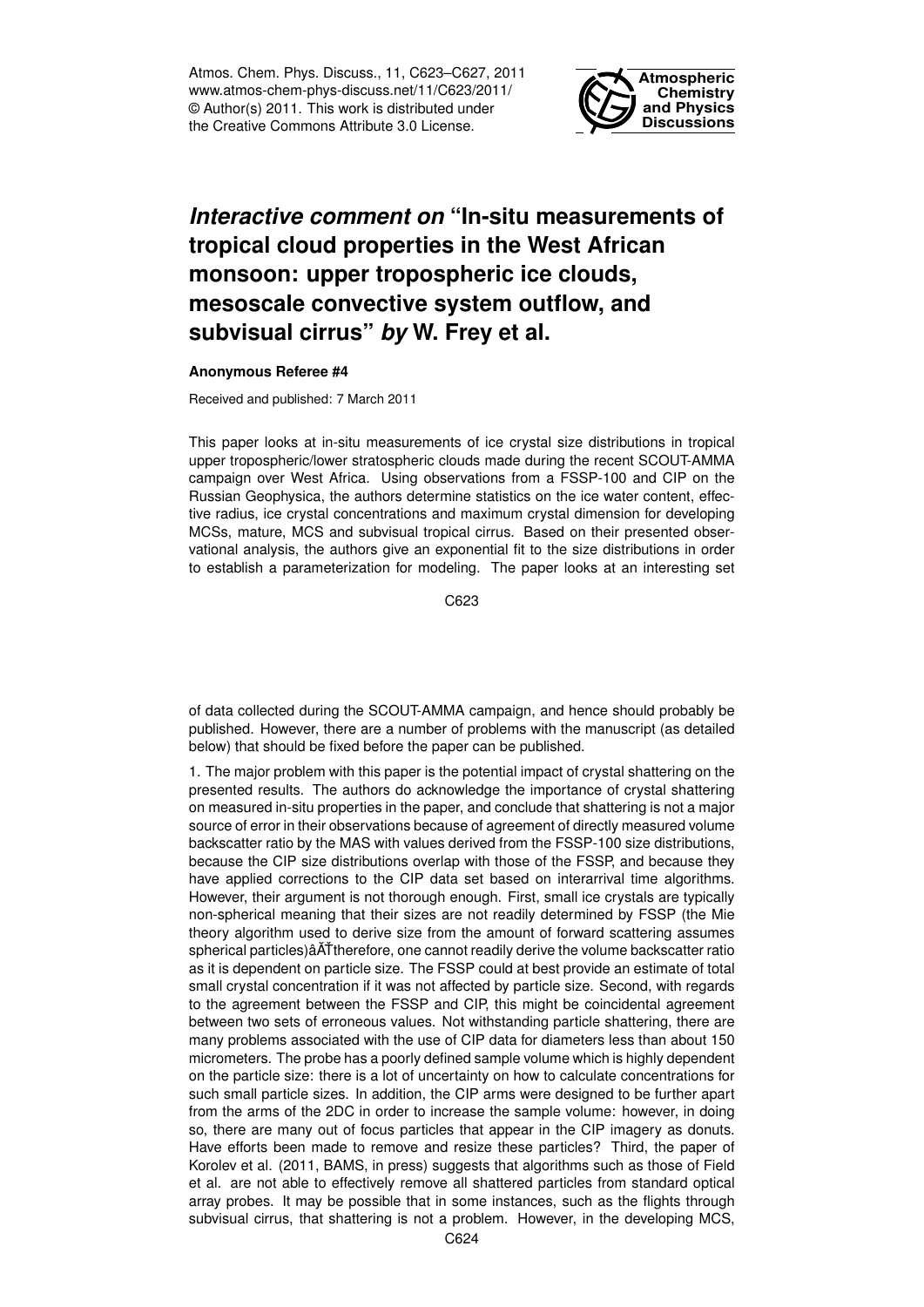Atmos. Chem. Phys. Discuss., 11, C623–C627, 2011 www.atmos-chem-phys-discuss.net/11/C623/2011/ © Author(s) 2011. This work is distributed under the Creative Commons Attribute 3.0 License.



## *Interactive comment on* **"In-situ measurements of tropical cloud properties in the West African monsoon: upper tropospheric ice clouds, mesoscale convective system outflow, and subvisual cirrus"** *by* **W. Frey et al.**

## **Anonymous Referee #4**

Received and published: 7 March 2011

This paper looks at in-situ measurements of ice crystal size distributions in tropical upper tropospheric/lower stratospheric clouds made during the recent SCOUT-AMMA campaign over West Africa. Using observations from a FSSP-100 and CIP on the Russian Geophysica, the authors determine statistics on the ice water content, effective radius, ice crystal concentrations and maximum crystal dimension for developing MCSs, mature, MCS and subvisual tropical cirrus. Based on their presented observational analysis, the authors give an exponential fit to the size distributions in order to establish a parameterization for modeling. The paper looks at an interesting set

C623

of data collected during the SCOUT-AMMA campaign, and hence should probably be published. However, there are a number of problems with the manuscript (as detailed below) that should be fixed before the paper can be published.

1. The major problem with this paper is the potential impact of crystal shattering on the presented results. The authors do acknowledge the importance of crystal shattering on measured in-situ properties in the paper, and conclude that shattering is not a major source of error in their observations because of agreement of directly measured volume backscatter ratio by the MAS with values derived from the FSSP-100 size distributions, because the CIP size distributions overlap with those of the FSSP, and because they have applied corrections to the CIP data set based on interarrival time algorithms. However, their argument is not thorough enough. First, small ice crystals are typically non-spherical meaning that their sizes are not readily determined by FSSP (the Mie theory algorithm used to derive size from the amount of forward scattering assumes spherical particles) $\hat{A}$ Ttherefore, one cannot readily derive the volume backscatter ratio as it is dependent on particle size. The FSSP could at best provide an estimate of total small crystal concentration if it was not affected by particle size. Second, with regards to the agreement between the FSSP and CIP, this might be coincidental agreement between two sets of erroneous values. Not withstanding particle shattering, there are many problems associated with the use of CIP data for diameters less than about 150 micrometers. The probe has a poorly defined sample volume which is highly dependent on the particle size: there is a lot of uncertainty on how to calculate concentrations for such small particle sizes. In addition, the CIP arms were designed to be further apart from the arms of the 2DC in order to increase the sample volume: however, in doing so, there are many out of focus particles that appear in the CIP imagery as donuts. Have efforts been made to remove and resize these particles? Third, the paper of Korolev et al. (2011, BAMS, in press) suggests that algorithms such as those of Field et al. are not able to effectively remove all shattered particles from standard optical array probes. It may be possible that in some instances, such as the flights through subvisual cirrus, that shattering is not a problem. However, in the developing MCS,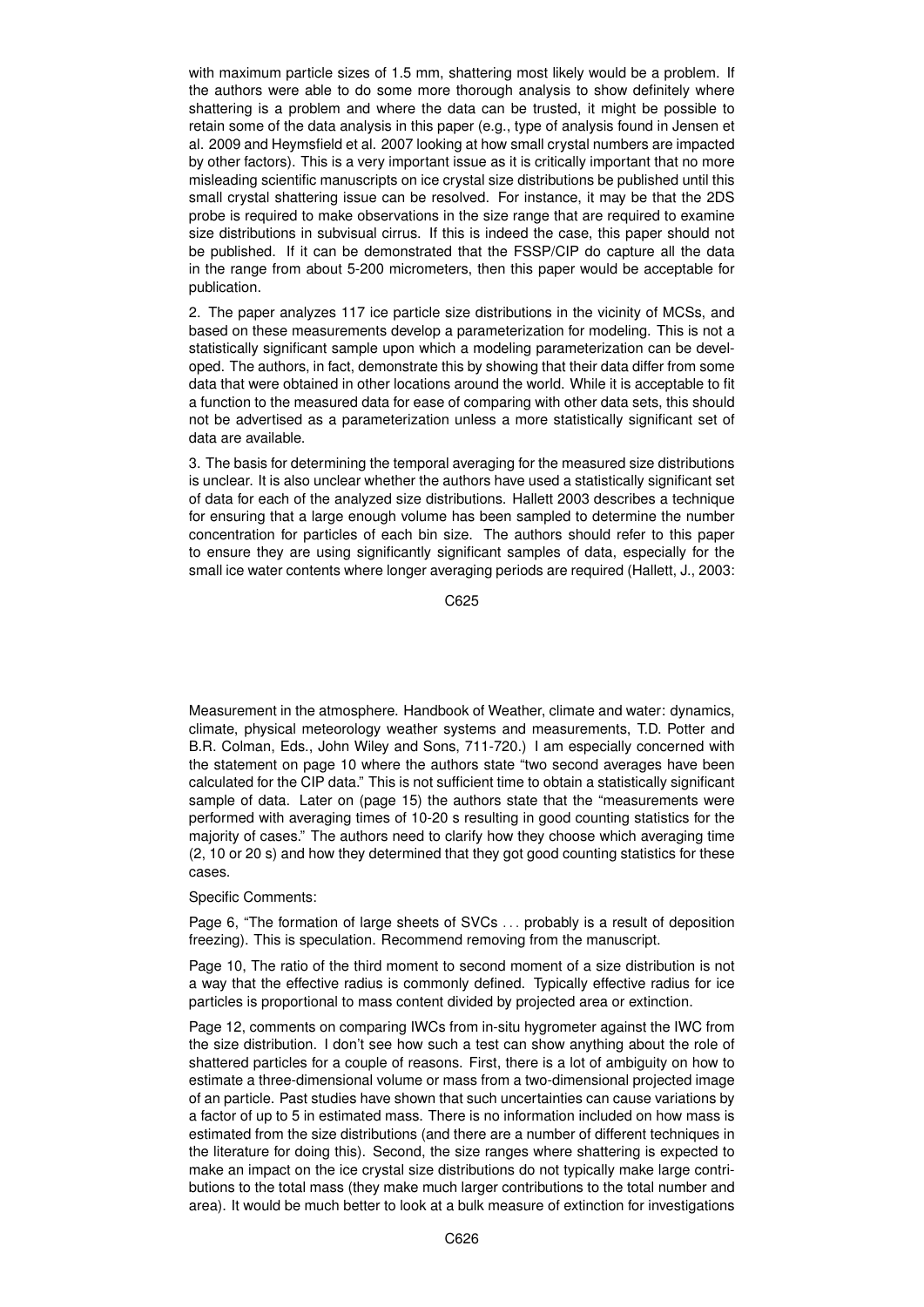with maximum particle sizes of 1.5 mm, shattering most likely would be a problem. If the authors were able to do some more thorough analysis to show definitely where shattering is a problem and where the data can be trusted, it might be possible to retain some of the data analysis in this paper (e.g., type of analysis found in Jensen et al. 2009 and Heymsfield et al. 2007 looking at how small crystal numbers are impacted by other factors). This is a very important issue as it is critically important that no more misleading scientific manuscripts on ice crystal size distributions be published until this small crystal shattering issue can be resolved. For instance, it may be that the 2DS probe is required to make observations in the size range that are required to examine size distributions in subvisual cirrus. If this is indeed the case, this paper should not be published. If it can be demonstrated that the FSSP/CIP do capture all the data in the range from about 5-200 micrometers, then this paper would be acceptable for publication.

2. The paper analyzes 117 ice particle size distributions in the vicinity of MCSs, and based on these measurements develop a parameterization for modeling. This is not a statistically significant sample upon which a modeling parameterization can be developed. The authors, in fact, demonstrate this by showing that their data differ from some data that were obtained in other locations around the world. While it is acceptable to fit a function to the measured data for ease of comparing with other data sets, this should not be advertised as a parameterization unless a more statistically significant set of data are available.

3. The basis for determining the temporal averaging for the measured size distributions is unclear. It is also unclear whether the authors have used a statistically significant set of data for each of the analyzed size distributions. Hallett 2003 describes a technique for ensuring that a large enough volume has been sampled to determine the number concentration for particles of each bin size. The authors should refer to this paper to ensure they are using significantly significant samples of data, especially for the small ice water contents where longer averaging periods are required (Hallett, J., 2003:

C625

Measurement in the atmosphere. Handbook of Weather, climate and water: dynamics, climate, physical meteorology weather systems and measurements, T.D. Potter and B.R. Colman, Eds., John Wiley and Sons, 711-720.) I am especially concerned with the statement on page 10 where the authors state "two second averages have been calculated for the CIP data." This is not sufficient time to obtain a statistically significant sample of data. Later on (page 15) the authors state that the "measurements were performed with averaging times of 10-20 s resulting in good counting statistics for the majority of cases." The authors need to clarify how they choose which averaging time (2, 10 or 20 s) and how they determined that they got good counting statistics for these cases.

Specific Comments:

Page 6, "The formation of large sheets of SVCs . . . probably is a result of deposition freezing). This is speculation. Recommend removing from the manuscript.

Page 10, The ratio of the third moment to second moment of a size distribution is not a way that the effective radius is commonly defined. Typically effective radius for ice particles is proportional to mass content divided by projected area or extinction.

Page 12, comments on comparing IWCs from in-situ hygrometer against the IWC from the size distribution. I don't see how such a test can show anything about the role of shattered particles for a couple of reasons. First, there is a lot of ambiguity on how to estimate a three-dimensional volume or mass from a two-dimensional projected image of an particle. Past studies have shown that such uncertainties can cause variations by a factor of up to 5 in estimated mass. There is no information included on how mass is estimated from the size distributions (and there are a number of different techniques in the literature for doing this). Second, the size ranges where shattering is expected to make an impact on the ice crystal size distributions do not typically make large contributions to the total mass (they make much larger contributions to the total number and area). It would be much better to look at a bulk measure of extinction for investigations